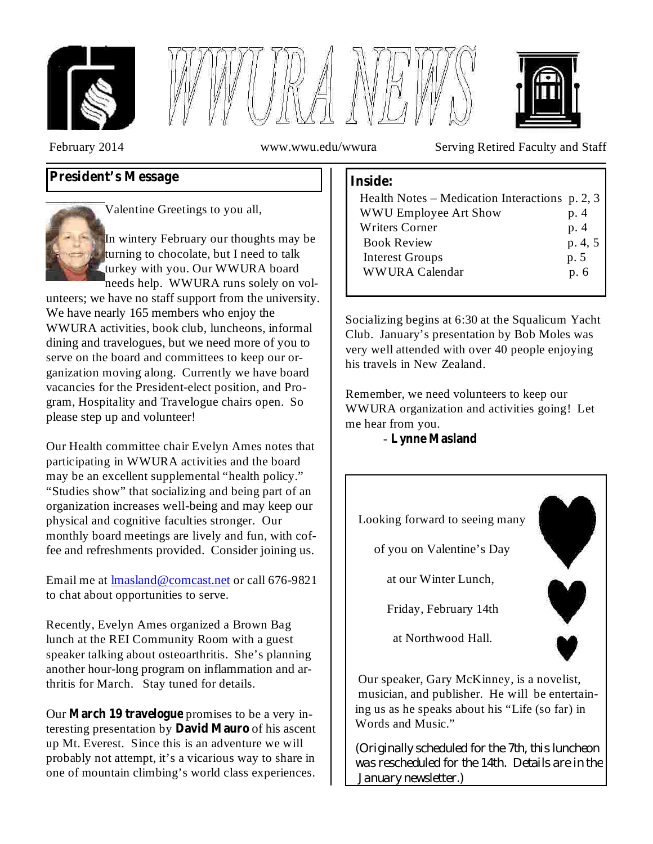





February 2014 www.wwu.edu/wwura Serving Retired Faculty and Staff

# **President's Message**



Valentine Greetings to you all,

In wintery February our thoughts may be turning to chocolate, but I need to talk turkey with you. Our WWURA board needs help. WWURA runs solely on vol-

unteers; we have no staff support from the university. We have nearly 165 members who enjoy the WWURA activities, book club, luncheons, informal dining and travelogues, but we need more of you to serve on the board and committees to keep our organization moving along. Currently we have board vacancies for the President-elect position, and Program, Hospitality and Travelogue chairs open. So please step up and volunteer!

Our Health committee chair Evelyn Ames notes that participating in WWURA activities and the board may be an excellent supplemental "health policy." "Studies show" that socializing and being part of an organization increases well-being and may keep our physical and cognitive faculties stronger. Our monthly board meetings are lively and fun, with coffee and refreshments provided. Consider joining us.

Email me at **lmasland@comcast.net** or call 676-9821 to chat about opportunities to serve.

Recently, Evelyn Ames organized a Brown Bag lunch at the REI Community Room with a guest speaker talking about osteoarthritis. She's planning another hour-long program on inflammation and arthritis for March. Stay tuned for details.

Our **March 19 travelogue** promises to be a very interesting presentation by **David Mauro** of his ascent up Mt. Everest. Since this is an adventure we will probably not attempt, it's a vicarious way to share in one of mountain climbing's world class experiences.

### **Inside:**

| Health Notes – Medication Interactions $p. 2, 3$ |         |
|--------------------------------------------------|---------|
| <b>WWU Employee Art Show</b>                     | p. 4    |
| <b>Writers Corner</b>                            | p. 4    |
| <b>Book Review</b>                               | p. 4, 5 |
| <b>Interest Groups</b>                           | p. 5    |
| <b>WWURA Calendar</b>                            | p. 6    |
|                                                  |         |

Socializing begins at 6:30 at the Squalicum Yacht Club. January's presentation by Bob Moles was very well attended with over 40 people enjoying his travels in New Zealand.

Remember, we need volunteers to keep our WWURA organization and activities going! Let me hear from you.

- **Lynne Masland**



Our speaker, Gary McKinney, is a novelist, musician, and publisher. He will be entertaining us as he speaks about his "Life (so far) in Words and Music."

*(Originally scheduled for the 7th, this luncheon was rescheduled for the 14th. Details are in the January newsletter.)*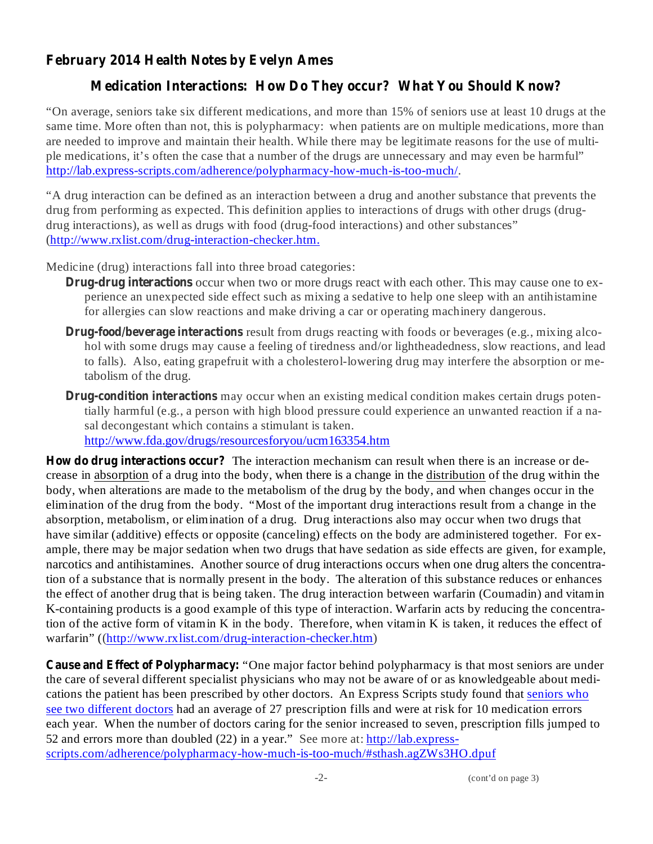## **February 2014 Health Notes by Evelyn Ames**

## **Medication Interactions: How Do They occur? What You Should Know?**

"On average, seniors take six different medications, and more than 15% of seniors use at least 10 drugs at the same time. More often than not, this is polypharmacy: when patients are on multiple medications, more than are needed to improve and maintain their health. While there may be legitimate reasons for the use of multiple medications, it's often the case that a number of the drugs are unnecessary and may even be harmful" http://lab.express-scripts.com/adherence/polypharmacy-how-much-is-too-much/.

"A drug interaction can be defined as an interaction between a drug and another substance that prevents the drug from performing as expected. This definition applies to interactions of drugs with other drugs (drugdrug interactions), as well as drugs with food (drug-food interactions) and other substances" (http://www.rxlist.com/drug-interaction-checker.htm.

Medicine (drug) interactions fall into three broad categories:

- **Drug-drug interactions** occur when two or more drugs react with each other. This may cause one to experience an unexpected side effect such as mixing a sedative to help one sleep with an antihistamine for allergies can slow reactions and make driving a car or operating machinery dangerous.
- **Drug-food/beverage interactions** result from drugs reacting with foods or beverages (e.g., mixing alcohol with some drugs may cause a feeling of tiredness and/or lightheadedness, slow reactions, and lead to falls). Also, eating grapefruit with a cholesterol-lowering drug may interfere the absorption or metabolism of the drug.
- **Drug-condition interactions** may occur when an existing medical condition makes certain drugs potentially harmful (e.g., a person with high blood pressure could experience an unwanted reaction if a nasal decongestant which contains a stimulant is taken. http://www.fda.gov/drugs/resourcesforyou/ucm163354.htm

**How do drug interactions occur?** The interaction mechanism can result when there is an increase or decrease in absorption of a drug into the body, when there is a change in the distribution of the drug within the body, when alterations are made to the metabolism of the drug by the body, and when changes occur in the elimination of the drug from the body. "Most of the important drug interactions result from a change in the absorption, metabolism, or elimination of a drug. Drug interactions also may occur when two drugs that have similar (additive) effects or opposite (canceling) effects on the body are administered together. For example, there may be major sedation when two drugs that have sedation as side effects are given, for example, narcotics and antihistamines. Another source of drug interactions occurs when one drug alters the concentration of a substance that is normally present in the body. The alteration of this substance reduces or enhances the effect of another drug that is being taken. The drug interaction between warfarin (Coumadin) and vitamin K-containing products is a good example of this type of interaction. Warfarin acts by reducing the concentration of the active form of vitamin K in the body. Therefore, when vitamin K is taken, it reduces the effect of warfarin" ((http://www.rxlist.com/drug-interaction-checker.htm)

**Cause and Effect of Polypharmacy:** "One major factor behind polypharmacy is that most seniors are under the care of several different specialist physicians who may not be aware of or as knowledgeable about medications the patient has been prescribed by other doctors. An Express Scripts study found that seniors who see two different doctors had an average of 27 prescription fills and were at risk for 10 medication errors each year. When the number of doctors caring for the senior increased to seven, prescription fills jumped to 52 and errors more than doubled (22) in a year." See more at: http://lab.expressscripts.com/adherence/polypharmacy-how-much-is-too-much/#sthash.agZWs3HO.dpuf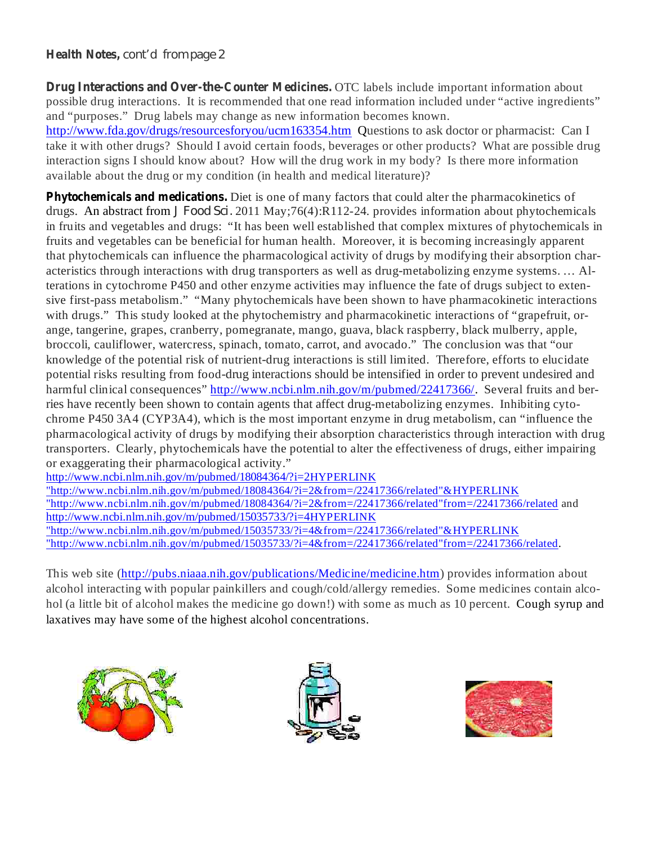#### **Health Notes,** *cont'd from page 2*

**Drug Interactions and Over-the-Counter Medicines.** OTC labels include important information about possible drug interactions. It is recommended that one read information included under "active ingredients" and "purposes." Drug labels may change as new information becomes known.

http://www.fda.gov/drugs/resourcesforyou/ucm163354.htm Questions to ask doctor or pharmacist: Can I take it with other drugs? Should I avoid certain foods, beverages or other products? What are possible drug interaction signs I should know about? How will the drug work in my body? Is there more information available about the drug or my condition (in health and medical literature)?

**Phytochemicals and medications.** Diet is one of many factors that could alter the pharmacokinetics of drugs. An abstract from *J Food Sci.* 2011 May;76(4):R112-24. provides information about phytochemicals in fruits and vegetables and drugs: "It has been well established that complex mixtures of phytochemicals in fruits and vegetables can be beneficial for human health. Moreover, it is becoming increasingly apparent that phytochemicals can influence the pharmacological activity of drugs by modifying their absorption characteristics through interactions with drug transporters as well as drug-metabolizing enzyme systems. … Alterations in cytochrome P450 and other enzyme activities may influence the fate of drugs subject to extensive first-pass metabolism." "Many phytochemicals have been shown to have pharmacokinetic interactions with drugs." This study looked at the phytochemistry and pharmacokinetic interactions of "grapefruit, orange, tangerine, grapes, cranberry, pomegranate, mango, guava, black raspberry, black mulberry, apple, broccoli, cauliflower, watercress, spinach, tomato, carrot, and avocado." The conclusion was that "our knowledge of the potential risk of nutrient-drug interactions is still limited. Therefore, efforts to elucidate potential risks resulting from food-drug interactions should be intensified in order to prevent undesired and harmful clinical consequences" http://www.ncbi.nlm.nih.gov/m/pubmed/22417366/. Several fruits and berries have recently been shown to contain agents that affect drug-metabolizing enzymes. Inhibiting cytochrome P450 3A4 (CYP3A4), which is the most important enzyme in drug metabolism, can "influence the pharmacological activity of drugs by modifying their absorption characteristics through interaction with drug transporters. Clearly, phytochemicals have the potential to alter the effectiveness of drugs, either impairing or exaggerating their pharmacological activity."

http://www.ncbi.nlm.nih.gov/m/pubmed/18084364/?i=2HYPERLINK "http://www.ncbi.nlm.nih.gov/m/pubmed/18084364/?i=2&from=/22417366/related"&HYPERLINK "http://www.ncbi.nlm.nih.gov/m/pubmed/18084364/?i=2&from=/22417366/related"from=/22417366/related and http://www.ncbi.nlm.nih.gov/m/pubmed/15035733/?i=4HYPERLINK "http://www.ncbi.nlm.nih.gov/m/pubmed/15035733/?i=4&from=/22417366/related"&HYPERLINK "http://www.ncbi.nlm.nih.gov/m/pubmed/15035733/?i=4&from=/22417366/related"from=/22417366/related.

This web site (http://pubs.niaaa.nih.gov/publications/Medicine/medicine.htm) provides information about alcohol interacting with popular painkillers and cough/cold/allergy remedies. Some medicines contain alcohol (a little bit of alcohol makes the medicine go down!) with some as much as 10 percent. Cough syrup and laxatives may have some of the highest alcohol concentrations.





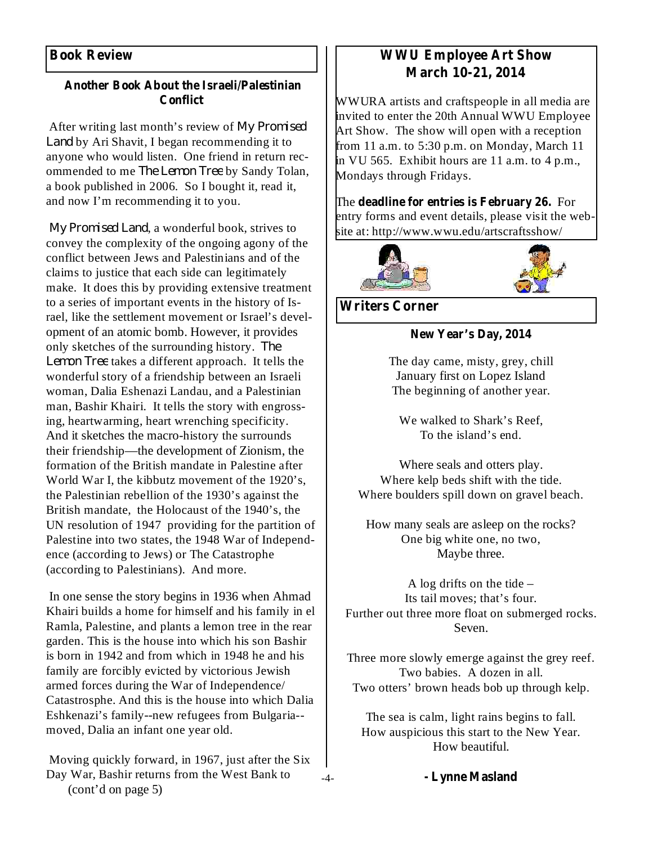### **Book Review**

#### **Another Book About the Israeli/Palestinian Conflict**

After writing last month's review of *My Promised* Land by Ari Shavit, I began recommending it to anyone who would listen. One friend in return recommended to me *The Lemon Tree* by Sandy Tolan, a book published in 2006. So I bought it, read it, and now I'm recommending it to you.

My Promised Land, a wonderful book, strives to convey the complexity of the ongoing agony of the conflict between Jews and Palestinians and of the claims to justice that each side can legitimately make. It does this by providing extensive treatment to a series of important events in the history of Israel, like the settlement movement or Israel's development of an atomic bomb. However, it provides only sketches of the surrounding history. *The* Lemon Tree takes a different approach. It tells the wonderful story of a friendship between an Israeli woman, Dalia Eshenazi Landau, and a Palestinian man, Bashir Khairi. It tells the story with engrossing, heartwarming, heart wrenching specificity. And it sketches the macro-history the surrounds their friendship—the development of Zionism, the formation of the British mandate in Palestine after World War I, the kibbutz movement of the 1920's, the Palestinian rebellion of the 1930's against the British mandate, the Holocaust of the 1940's, the UN resolution of 1947 providing for the partition of Palestine into two states, the 1948 War of Independence (according to Jews) or The Catastrophe (according to Palestinians). And more.

In one sense the story begins in 1936 when Ahmad Khairi builds a home for himself and his family in el Ramla, Palestine, and plants a lemon tree in the rear garden. This is the house into which his son Bashir is born in 1942 and from which in 1948 he and his family are forcibly evicted by victorious Jewish armed forces during the War of Independence/ Catastrosphe. And this is the house into which Dalia Eshkenazi's family--new refugees from Bulgaria- moved, Dalia an infant one year old.

Moving quickly forward, in 1967, just after the Six Day War, Bashir returns from the West Bank to (cont'd on page 5)

## **WWU Employee Art Show March 10-21, 2014**

WWURA artists and craftspeople in all media are invited to enter the 20th Annual WWU Employee Art Show. The show will open with a reception from 11 a.m. to 5:30 p.m. on Monday, March 11 in VU 565. Exhibit hours are 11 a.m. to 4 p.m., Mondays through Fridays.

**finally** The deadline for entries is February 26. For entry forms and event details, please visit the website at: http://www.wwu.edu/artscraftsshow/



**Writers Corner**

**New Year's Day, 2014**

The day came, misty, grey, chill January first on Lopez Island The beginning of another year.

We walked to Shark's Reef, To the island's end.

Where seals and otters play. Where kelp beds shift with the tide. Where boulders spill down on gravel beach.

How many seals are asleep on the rocks? One big white one, no two, Maybe three.

A log drifts on the tide – Its tail moves; that's four. Further out three more float on submerged rocks. Seven.

Three more slowly emerge against the grey reef. Two babies. A dozen in all. Two otters' brown heads bob up through kelp.

The sea is calm, light rains begins to fall. How auspicious this start to the New Year. How beautiful.

**- Lynne Masland**

-4-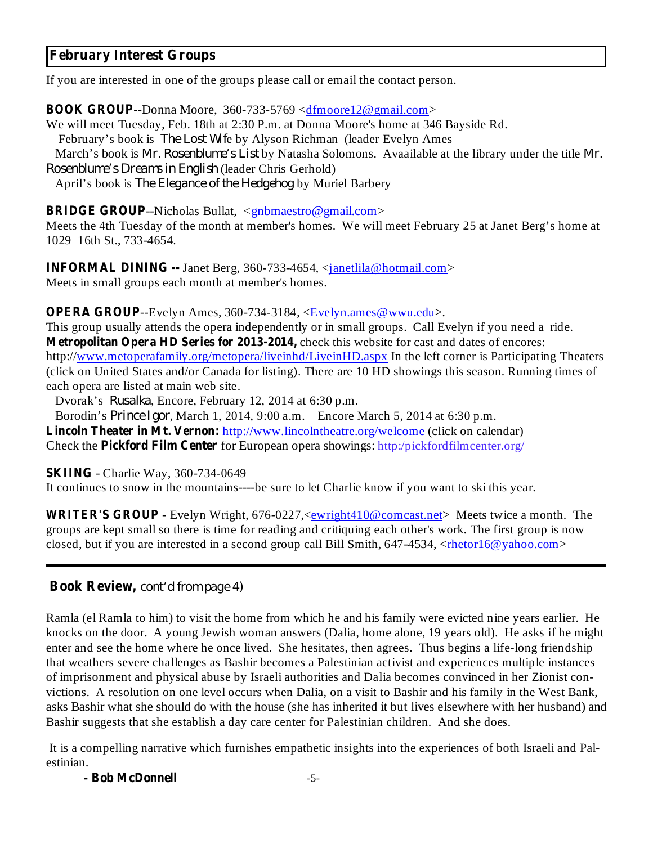### **February Interest Groups**

If you are interested in one of the groups please call or email the contact person.

**BOOK GROUP**--Donna Moore, 360-733-5769 <dfmoore12@gmail.com>

We will meet Tuesday, Feb. 18th at 2:30 P.m. at Donna Moore's home at 346 Bayside Rd.

February's book is *The Lost Wife* by Alyson Richman (leader Evelyn Ames

March's book is *Mr. Rosenblume's List* by Natasha Solomons. Avaailable at the library under the title *Mr.* (leader Chris Gerhold) *Rosenblume's Dreams in English*

April's book is *The Elegance of the Hedgehog* by Muriel Barbery

### **BRIDGE GROUP**--Nicholas Bullat, <**gnbmaestro@gmail.com>**

Meets the 4th Tuesday of the month at member's homes. We will meet February 25 at Janet Berg's home at 1029 16th St., 733-4654.

**INFORMAL DINING --** Janet Berg, 360-733-4654, <*janetlila@hotmail.com>* Meets in small groups each month at member's homes.

**OPERA GROUP**--Evelyn Ames, 360-734-3184, <Evelyn.ames@wwu.edu>.

This group usually attends the opera independently or in small groups. Call Evelyn if you need a ride. **Metropolitan Opera HD Series for 2013-2014,** check this website for cast and dates of encores: http://www.metoperafamily.org/metopera/liveinhd/LiveinHD.aspx In the left corner is Participating Theaters (click on United States and/or Canada for listing). There are 10 HD showings this season. Running times of each opera are listed at main web site.

Dvorak's *Rusalka*, Encore, February 12, 2014 at 6:30 p.m.

Borodin's *Prince Igor*, March 1, 2014, 9:00 a.m. Encore March 5, 2014 at 6:30 p.m.

**Lincoln Theater in Mt. Vernon:** http://www.lincolntheatre.org/welcome (click on calendar)

**Check the Pickford Film Center** for European opera showings: http:/pickfordfilmcenter.org/

**SKIING** - Charlie Way, 360-734-0649

It continues to snow in the mountains----be sure to let Charlie know if you want to ski this year.

**WRITER'S GROUP** - Evelyn Wright, 676-0227,<ewright410@comcast.net> Meets twice a month. The groups are kept small so there is time for reading and critiquing each other's work. The first group is now closed, but if you are interested in a second group call Bill Smith, 647-4534, <rhetor16@yahoo.com>

### **Book Review,** *cont'd from page 4)*

Ramla (el Ramla to him) to visit the home from which he and his family were evicted nine years earlier. He knocks on the door. A young Jewish woman answers (Dalia, home alone, 19 years old). He asks if he might enter and see the home where he once lived. She hesitates, then agrees. Thus begins a life-long friendship that weathers severe challenges as Bashir becomes a Palestinian activist and experiences multiple instances of imprisonment and physical abuse by Israeli authorities and Dalia becomes convinced in her Zionist convictions. A resolution on one level occurs when Dalia, on a visit to Bashir and his family in the West Bank, asks Bashir what she should do with the house (she has inherited it but lives elsewhere with her husband) and Bashir suggests that she establish a day care center for Palestinian children. And she does.

It is a compelling narrative which furnishes empathetic insights into the experiences of both Israeli and Palestinian.

**- Bob McDonnell**